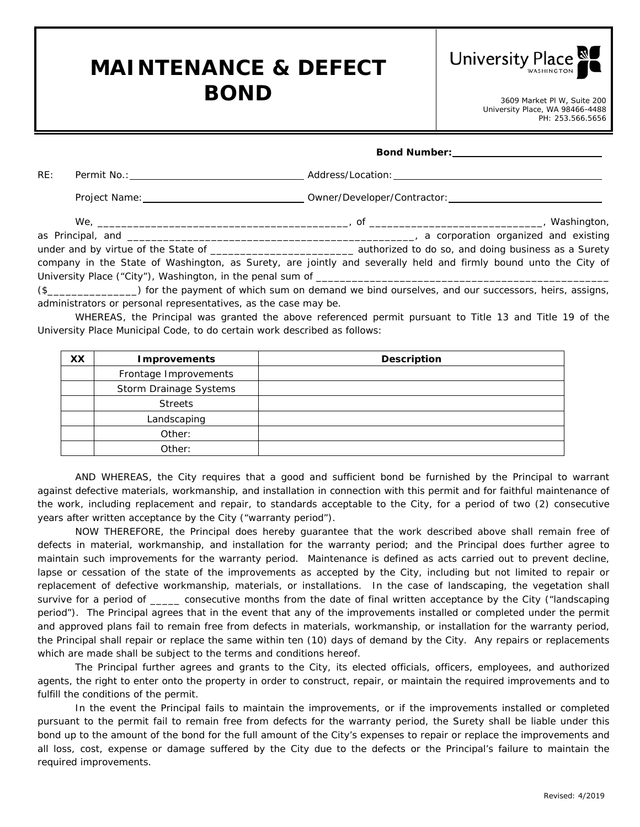## **MAINTENANCE & DEFECT BOND** 3609 Market Pl W, Suite 200



University Place, WA 98466-4488 PH: 253.566.5656

|     | Bond Number: ___________________________                                                                        |
|-----|-----------------------------------------------------------------------------------------------------------------|
| RE: |                                                                                                                 |
|     |                                                                                                                 |
|     | a corporation organized and existing                                                                            |
|     |                                                                                                                 |
|     | company in the State of Washington, as Surety, are jointly and severally held and firmly bound unto the City of |
|     |                                                                                                                 |
|     | (d) (a) the second of unide current and constant unidentify and construct and current concerns to the continue  |

(\$\_\_\_\_\_\_\_\_\_\_\_\_\_\_\_) for the payment of which sum on demand we bind ourselves, and our successors, heirs, assigns, administrators or personal representatives, as the case may be.

WHEREAS, the Principal was granted the above referenced permit pursuant to Title 13 and Title 19 of the University Place Municipal Code, to do certain work described as follows:

| XX | <b>Improvements</b>    | <b>Description</b> |
|----|------------------------|--------------------|
|    | Frontage Improvements  |                    |
|    | Storm Drainage Systems |                    |
|    | <b>Streets</b>         |                    |
|    | Landscaping            |                    |
|    | Other:                 |                    |
|    | Other:                 |                    |

AND WHEREAS, the City requires that a good and sufficient bond be furnished by the Principal to warrant against defective materials, workmanship, and installation in connection with this permit and for faithful maintenance of the work, including replacement and repair, to standards acceptable to the City, for a period of two (2) consecutive years after written acceptance by the City ("warranty period").

NOW THEREFORE, the Principal does hereby guarantee that the work described above shall remain free of defects in material, workmanship, and installation for the warranty period; and the Principal does further agree to maintain such improvements for the warranty period. Maintenance is defined as acts carried out to prevent decline, lapse or cessation of the state of the improvements as accepted by the City, including but not limited to repair or replacement of defective workmanship, materials, or installations. In the case of landscaping, the vegetation shall survive for a period of \_\_\_\_\_ consecutive months from the date of final written acceptance by the City ("landscaping period"). The Principal agrees that in the event that any of the improvements installed or completed under the permit and approved plans fail to remain free from defects in materials, workmanship, or installation for the warranty period, the Principal shall repair or replace the same within ten (10) days of demand by the City. Any repairs or replacements which are made shall be subject to the terms and conditions hereof.

The Principal further agrees and grants to the City, its elected officials, officers, employees, and authorized agents, the right to enter onto the property in order to construct, repair, or maintain the required improvements and to fulfill the conditions of the permit.

In the event the Principal fails to maintain the improvements, or if the improvements installed or completed pursuant to the permit fail to remain free from defects for the warranty period, the Surety shall be liable under this bond up to the amount of the bond for the full amount of the City's expenses to repair or replace the improvements and all loss, cost, expense or damage suffered by the City due to the defects or the Principal's failure to maintain the required improvements.